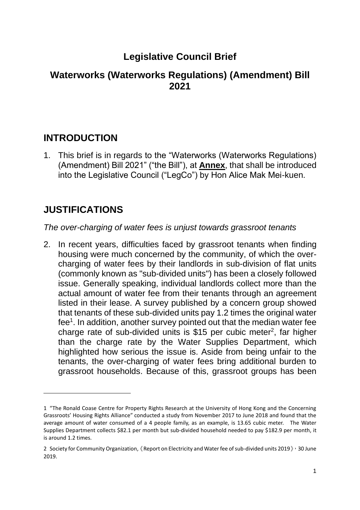# **Legislative Council Brief**

#### **Waterworks (Waterworks Regulations) (Amendment) Bill 2021**

### **INTRODUCTION**

1. This brief is in regards to the "Waterworks (Waterworks Regulations) (Amendment) Bill 2021" ("the Bill"), at **Annex**, that shall be introduced into the Legislative Council ("LegCo") by Hon Alice Mak Mei-kuen.

# **JUSTIFICATIONS**

#### *The over-charging of water fees is unjust towards grassroot tenants*

2. In recent years, difficulties faced by grassroot tenants when finding housing were much concerned by the community, of which the overcharging of water fees by their landlords in sub-division of flat units (commonly known as "sub-divided units") has been a closely followed issue. Generally speaking, individual landlords collect more than the actual amount of water fee from their tenants through an agreement listed in their lease. A survey published by a concern group showed that tenants of these sub-divided units pay 1.2 times the original water fee<sup>1</sup>. In addition, another survey pointed out that the median water fee charge rate of sub-divided units is \$15 per cubic meter<sup>2</sup>, far higher than the charge rate by the Water Supplies Department, which highlighted how serious the issue is. Aside from being unfair to the tenants, the over-charging of water fees bring additional burden to grassroot households. Because of this, grassroot groups has been

<sup>1</sup> "The Ronald Coase Centre for Property Rights Research at the University of Hong Kong and the Concerning Grassroots' Housing Rights Alliance" conducted a study from November 2017 to June 2018 and found that the average amount of water consumed of a 4 people family, as an example, is 13.65 cubic meter. The Water Supplies Department collects \$82.1 per month but sub-divided household needed to pay \$182.9 per month, it is around 1.2 times.

<sup>2</sup> Society for Community Organization, 《Report on Electricity and Water fee of sub-divided units 2019》, 30 June 2019.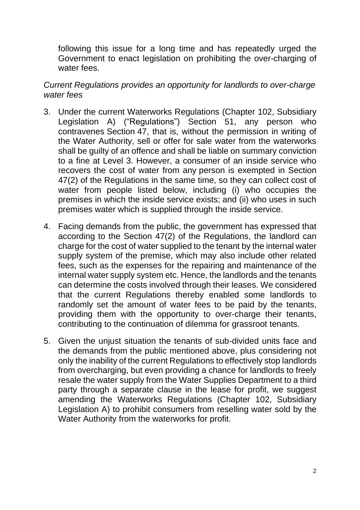following this issue for a long time and has repeatedly urged the Government to enact legislation on prohibiting the over-charging of water fees.

#### *Current Regulations provides an opportunity for landlords to over-charge water fees*

- 3. Under the current Waterworks Regulations (Chapter 102, Subsidiary Legislation A) ("Regulations") Section 51, any person who contravenes Section 47, that is, without the permission in writing of the Water Authority, sell or offer for sale water from the waterworks shall be guilty of an offence and shall be liable on summary conviction to a fine at Level 3. However, a consumer of an inside service who recovers the cost of water from any person is exempted in Section 47(2) of the Regulations in the same time, so they can collect cost of water from people listed below, including (i) who occupies the premises in which the inside service exists; and (ii) who uses in such premises water which is supplied through the inside service.
- 4. Facing demands from the public, the government has expressed that according to the Section 47(2) of the Regulations, the landlord can charge for the cost of water supplied to the tenant by the internal water supply system of the premise, which may also include other related fees, such as the expenses for the repairing and maintenance of the internal water supply system etc. Hence, the landlords and the tenants can determine the costs involved through their leases. We considered that the current Regulations thereby enabled some landlords to randomly set the amount of water fees to be paid by the tenants, providing them with the opportunity to over-charge their tenants, contributing to the continuation of dilemma for grassroot tenants.
- 5. Given the unjust situation the tenants of sub-divided units face and the demands from the public mentioned above, plus considering not only the inability of the current Regulations to effectively stop landlords from overcharging, but even providing a chance for landlords to freely resale the water supply from the Water Supplies Department to a third party through a separate clause in the lease for profit, we suggest amending the Waterworks Regulations (Chapter 102, Subsidiary Legislation A) to prohibit consumers from reselling water sold by the Water Authority from the waterworks for profit.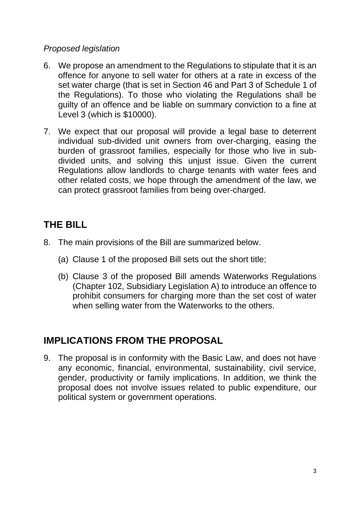#### *Proposed legislation*

- 6. We propose an amendment to the Regulations to stipulate that it is an offence for anyone to sell water for others at a rate in excess of the set water charge (that is set in Section 46 and Part 3 of Schedule 1 of the Regulations). To those who violating the Regulations shall be guilty of an offence and be liable on summary conviction to a fine at Level 3 (which is \$10000).
- 7. We expect that our proposal will provide a legal base to deterrent individual sub-divided unit owners from over-charging, easing the burden of grassroot families, especially for those who live in subdivided units, and solving this unjust issue. Given the current Regulations allow landlords to charge tenants with water fees and other related costs, we hope through the amendment of the law, we can protect grassroot families from being over-charged.

### **THE BILL**

- 8. The main provisions of the Bill are summarized below.
	- (a) Clause 1 of the proposed Bill sets out the short title;
	- (b) Clause 3 of the proposed Bill amends Waterworks Regulations (Chapter 102, Subsidiary Legislation A) to introduce an offence to prohibit consumers for charging more than the set cost of water when selling water from the Waterworks to the others.

## **IMPLICATIONS FROM THE PROPOSAL**

9. The proposal is in conformity with the Basic Law, and does not have any economic, financial, environmental, sustainability, civil service, gender, productivity or family implications. In addition, we think the proposal does not involve issues related to public expenditure, our political system or government operations.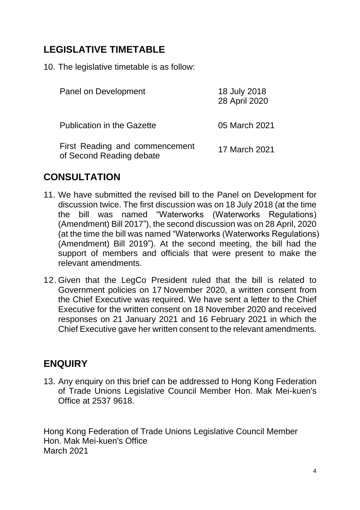## **LEGISLATIVE TIMETABLE**

10. The legislative timetable is as follow:

| Panel on Development                                       | 18 July 2018<br>28 April 2020 |
|------------------------------------------------------------|-------------------------------|
| <b>Publication in the Gazette</b>                          | 05 March 2021                 |
| First Reading and commencement<br>of Second Reading debate | 17 March 2021                 |

### **CONSULTATION**

- 11. We have submitted the revised bill to the Panel on Development for discussion twice. The first discussion was on 18 July 2018 (at the time the bill was named "Waterworks (Waterworks Regulations) (Amendment) Bill 2017"), the second discussion was on 28 April, 2020 (at the time the bill was named "Waterworks (Waterworks Regulations) (Amendment) Bill 2019"). At the second meeting, the bill had the support of members and officials that were present to make the relevant amendments.
- 12. Given that the LegCo President ruled that the bill is related to Government policies on 17 November 2020, a written consent from the Chief Executive was required. We have sent a letter to the Chief Executive for the written consent on 18 November 2020 and received responses on 21 January 2021 and 16 February 2021 in which the Chief Executive gave her written consent to the relevant amendments.

## **ENQUIRY**

13. Any enquiry on this brief can be addressed to Hong Kong Federation of Trade Unions Legislative Council Member Hon. Mak Mei-kuen's Office at 2537 9618.

Hong Kong Federation of Trade Unions Legislative Council Member Hon. Mak Mei-kuen's Office March 2021